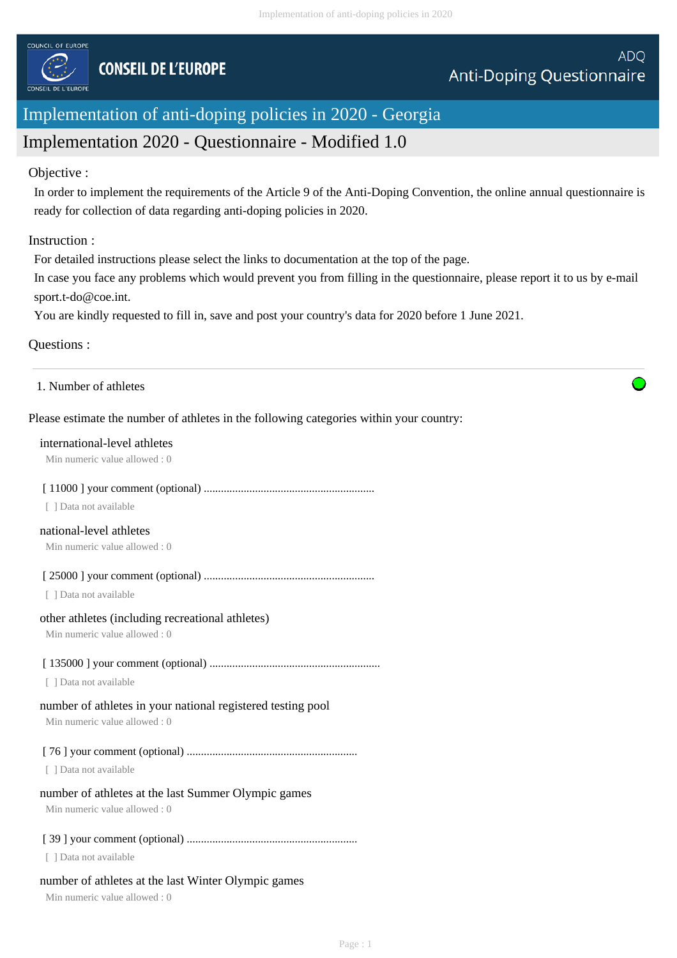

# Implementation of anti-doping policies in 2020 - Georgia

# Implementation 2020 - Questionnaire - Modified 1.0

## Objective :

In order to implement the requirements of the Article 9 of the Anti-Doping Convention, the online annual questionnaire is ready for collection of data regarding anti-doping policies in 2020.

## Instruction :

For detailed instructions please select the links to documentation at the top of the page.

In case you face any problems which would prevent you from filling in the questionnaire, please report it to us by e-mail sport.t-do@coe.int.

You are kindly requested to fill in, save and post your country's data for 2020 before 1 June 2021.

## Questions :

1. Number of athletes

## Please estimate the number of athletes in the following categories within your country:

#### international-level athletes

Min numeric value allowed : 0

## [ 11000 ] your comment (optional) ............................................................

[ ] Data not available

#### national-level athletes

Min numeric value allowed : 0

[ 25000 ] your comment (optional) ............................................................

[ ] Data not available

#### other athletes (including recreational athletes)

Min numeric value allowed : 0

## [ 135000 ] your comment (optional) ............................................................

[ ] Data not available

# number of athletes in your national registered testing pool

Min numeric value allowed : 0

[ 76 ] your comment (optional) ............................................................

[ ] Data not available

# number of athletes at the last Summer Olympic games

Min numeric value allowed : 0

# [ 39 ] your comment (optional) ............................................................

[ ] Data not available

# number of athletes at the last Winter Olympic games

Min numeric value allowed : 0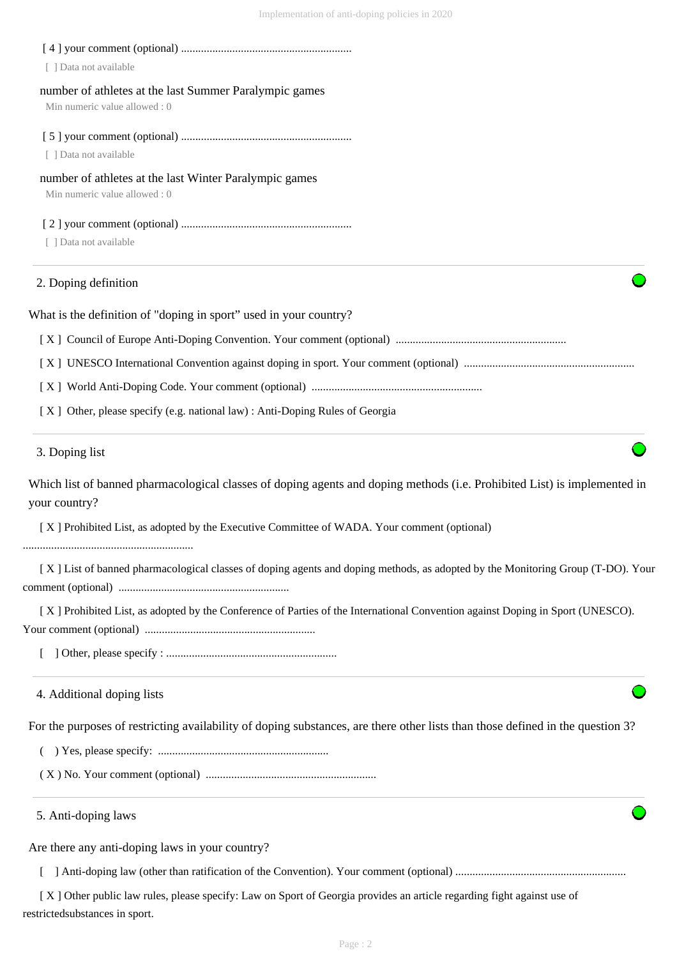| [ ] Data not available                                                                                                                     |  |
|--------------------------------------------------------------------------------------------------------------------------------------------|--|
| number of athletes at the last Summer Paralympic games<br>Min numeric value allowed: 0                                                     |  |
| [ ] Data not available                                                                                                                     |  |
|                                                                                                                                            |  |
| number of athletes at the last Winter Paralympic games<br>Min numeric value allowed: 0                                                     |  |
|                                                                                                                                            |  |
| [ ] Data not available                                                                                                                     |  |
| 2. Doping definition                                                                                                                       |  |
| What is the definition of "doping in sport" used in your country?                                                                          |  |
|                                                                                                                                            |  |
|                                                                                                                                            |  |
|                                                                                                                                            |  |
| [X] Other, please specify (e.g. national law) : Anti-Doping Rules of Georgia                                                               |  |
| 3. Doping list                                                                                                                             |  |
| Which list of banned pharmacological classes of doping agents and doping methods (i.e. Prohibited List) is implemented in<br>your country? |  |
| [X] Prohibited List, as adopted by the Executive Committee of WADA. Your comment (optional)                                                |  |
| [X] List of banned pharmacological classes of doping agents and doping methods, as adopted by the Monitoring Group (T-DO). Your            |  |
| [X] Prohibited List, as adopted by the Conference of Parties of the International Convention against Doping in Sport (UNESCO).             |  |
|                                                                                                                                            |  |
| 4. Additional doping lists                                                                                                                 |  |
| For the purposes of restricting availability of doping substances, are there other lists than those defined in the question 3?             |  |
|                                                                                                                                            |  |
|                                                                                                                                            |  |
| 5. Anti-doping laws                                                                                                                        |  |
| Are there any anti-doping laws in your country?                                                                                            |  |
|                                                                                                                                            |  |

[ X ] Other public law rules, please specify: Law on Sport of Georgia provides an article regarding fight against use of restrictedsubstances in sport.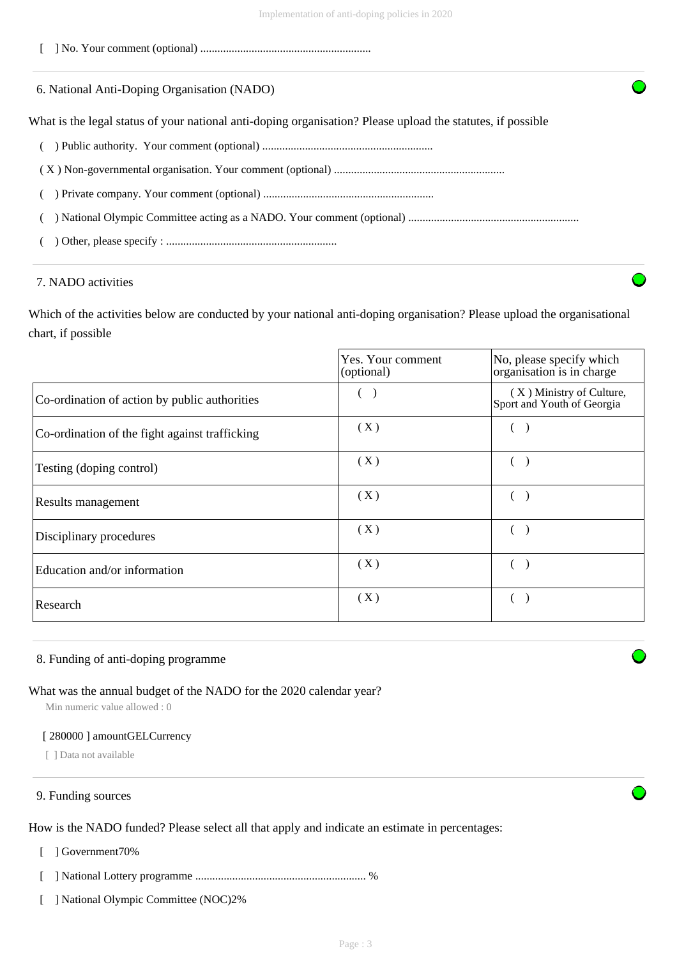[ ] No. Your comment (optional) ............................................................

|  |  | 6. National Anti-Doping Organisation (NADO) |  |  |
|--|--|---------------------------------------------|--|--|
|--|--|---------------------------------------------|--|--|

What is the legal status of your national anti-doping organisation? Please upload the statutes, if possible

- ( ) Public authority. Your comment (optional) ............................................................
- ( X ) Non-governmental organisation. Your comment (optional) ............................................................
- ( ) Private company. Your comment (optional) ............................................................
- ( ) National Olympic Committee acting as a NADO. Your comment (optional) ............................................................
- ( ) Other, please specify : ............................................................

## 7. NADO activities

Which of the activities below are conducted by your national anti-doping organisation? Please upload the organisational chart, if possible

|                                                | Yes. Your comment<br>(optional) | No, please specify which<br>organisation is in charge  |
|------------------------------------------------|---------------------------------|--------------------------------------------------------|
| Co-ordination of action by public authorities  |                                 | (X) Ministry of Culture,<br>Sport and Youth of Georgia |
| Co-ordination of the fight against trafficking | (X)                             |                                                        |
| Testing (doping control)                       | (X)                             |                                                        |
| Results management                             | (X)                             |                                                        |
| Disciplinary procedures                        | (X)                             |                                                        |
| Education and/or information                   | (X)                             |                                                        |
| Research                                       | (X)                             |                                                        |

#### 8. Funding of anti-doping programme

#### What was the annual budget of the NADO for the 2020 calendar year?

Min numeric value allowed : 0

#### [ 280000 ] amountGELCurrency

[ ] Data not available

#### 9. Funding sources

How is the NADO funded? Please select all that apply and indicate an estimate in percentages:

- [ ] Government70%
- [ ] National Lottery programme ............................................................ %
- [ ] National Olympic Committee (NOC)2%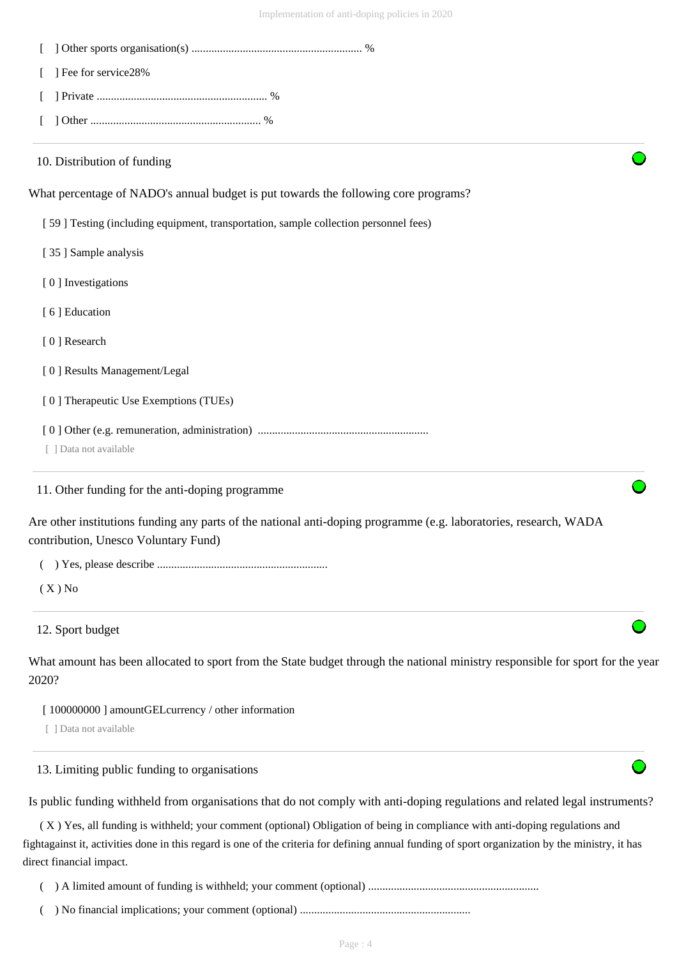| ] Fee for service28%                                                                                                                                                                                                                                                                                                                                                                                             |
|------------------------------------------------------------------------------------------------------------------------------------------------------------------------------------------------------------------------------------------------------------------------------------------------------------------------------------------------------------------------------------------------------------------|
|                                                                                                                                                                                                                                                                                                                                                                                                                  |
|                                                                                                                                                                                                                                                                                                                                                                                                                  |
| 10. Distribution of funding                                                                                                                                                                                                                                                                                                                                                                                      |
| What percentage of NADO's annual budget is put towards the following core programs?                                                                                                                                                                                                                                                                                                                              |
| [59] Testing (including equipment, transportation, sample collection personnel fees)                                                                                                                                                                                                                                                                                                                             |
| [35] Sample analysis                                                                                                                                                                                                                                                                                                                                                                                             |
| [0] Investigations                                                                                                                                                                                                                                                                                                                                                                                               |
| [6] Education                                                                                                                                                                                                                                                                                                                                                                                                    |
| [0] Research                                                                                                                                                                                                                                                                                                                                                                                                     |
| [0] Results Management/Legal                                                                                                                                                                                                                                                                                                                                                                                     |
| [0] Therapeutic Use Exemptions (TUEs)                                                                                                                                                                                                                                                                                                                                                                            |
| [ ] Data not available                                                                                                                                                                                                                                                                                                                                                                                           |
| 11. Other funding for the anti-doping programme                                                                                                                                                                                                                                                                                                                                                                  |
| Are other institutions funding any parts of the national anti-doping programme (e.g. laboratories, research, WADA<br>contribution, Unesco Voluntary Fund)                                                                                                                                                                                                                                                        |
|                                                                                                                                                                                                                                                                                                                                                                                                                  |
| $(X)$ No                                                                                                                                                                                                                                                                                                                                                                                                         |
| 12. Sport budget                                                                                                                                                                                                                                                                                                                                                                                                 |
| What amount has been allocated to sport from the State budget through the national ministry responsible for sport for the year<br>2020?                                                                                                                                                                                                                                                                          |
| [100000000] amountGEL currency / other information<br>[ ] Data not available                                                                                                                                                                                                                                                                                                                                     |
| 13. Limiting public funding to organisations                                                                                                                                                                                                                                                                                                                                                                     |
| Is public funding withheld from organisations that do not comply with anti-doping regulations and related legal instruments?<br>(X) Yes, all funding is withheld; your comment (optional) Obligation of being in compliance with anti-doping regulations and<br>fightagainst it, activities done in this regard is one of the criteria for defining annual funding of sport organization by the ministry, it has |

direct financial impact.

( ) A limited amount of funding is withheld; your comment (optional) ............................................................

( ) No financial implications; your comment (optional) ............................................................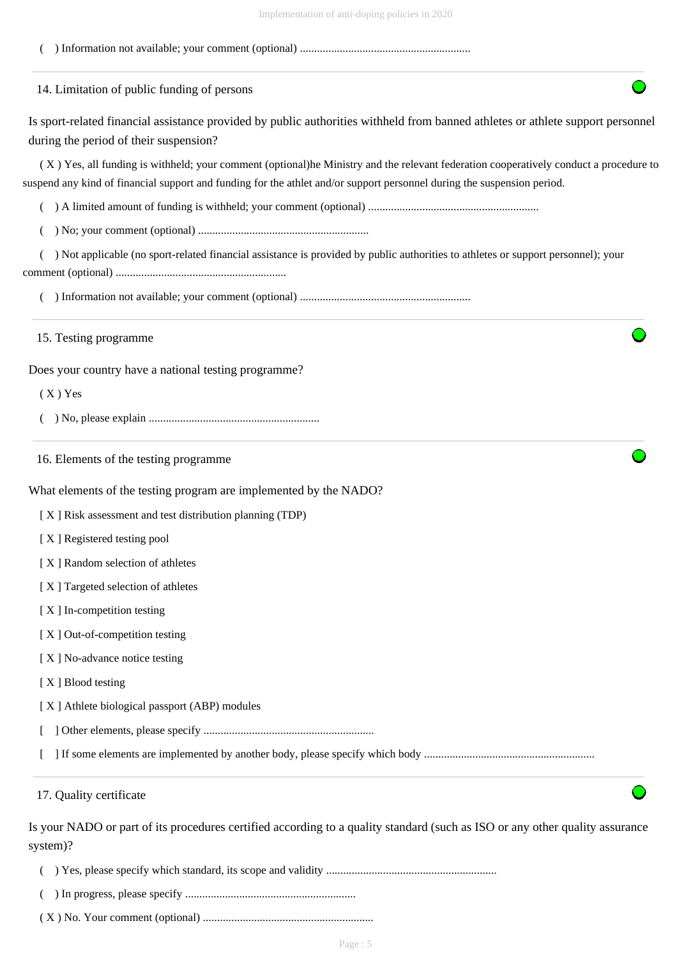| 14. Limitation of public funding of persons                                                                                                                                                                                                                      |  |
|------------------------------------------------------------------------------------------------------------------------------------------------------------------------------------------------------------------------------------------------------------------|--|
| Is sport-related financial assistance provided by public authorities withheld from banned athletes or athlete support personnel<br>during the period of their suspension?                                                                                        |  |
| (X) Yes, all funding is withheld; your comment (optional)he Ministry and the relevant federation cooperatively conduct a procedure to<br>suspend any kind of financial support and funding for the athlet and/or support personnel during the suspension period. |  |
|                                                                                                                                                                                                                                                                  |  |
|                                                                                                                                                                                                                                                                  |  |
| ) Not applicable (no sport-related financial assistance is provided by public authorities to athletes or support personnel); your                                                                                                                                |  |
|                                                                                                                                                                                                                                                                  |  |
| 15. Testing programme                                                                                                                                                                                                                                            |  |
| Does your country have a national testing programme?                                                                                                                                                                                                             |  |
| $(X)$ Yes                                                                                                                                                                                                                                                        |  |
|                                                                                                                                                                                                                                                                  |  |
| 16. Elements of the testing programme                                                                                                                                                                                                                            |  |
| What elements of the testing program are implemented by the NADO?                                                                                                                                                                                                |  |
| [X] Risk assessment and test distribution planning (TDP)                                                                                                                                                                                                         |  |
| [X] Registered testing pool                                                                                                                                                                                                                                      |  |
| [X] Random selection of athletes                                                                                                                                                                                                                                 |  |
| [X] Targeted selection of athletes                                                                                                                                                                                                                               |  |
| [X] In-competition testing                                                                                                                                                                                                                                       |  |
| [X] Out-of-competition testing                                                                                                                                                                                                                                   |  |
| [X] No-advance notice testing                                                                                                                                                                                                                                    |  |
| [X] Blood testing                                                                                                                                                                                                                                                |  |
| [X] Athlete biological passport (ABP) modules                                                                                                                                                                                                                    |  |
|                                                                                                                                                                                                                                                                  |  |
|                                                                                                                                                                                                                                                                  |  |
| 17. Quality certificate                                                                                                                                                                                                                                          |  |

( ) In progress, please specify ............................................................

( X ) No. Your comment (optional) ............................................................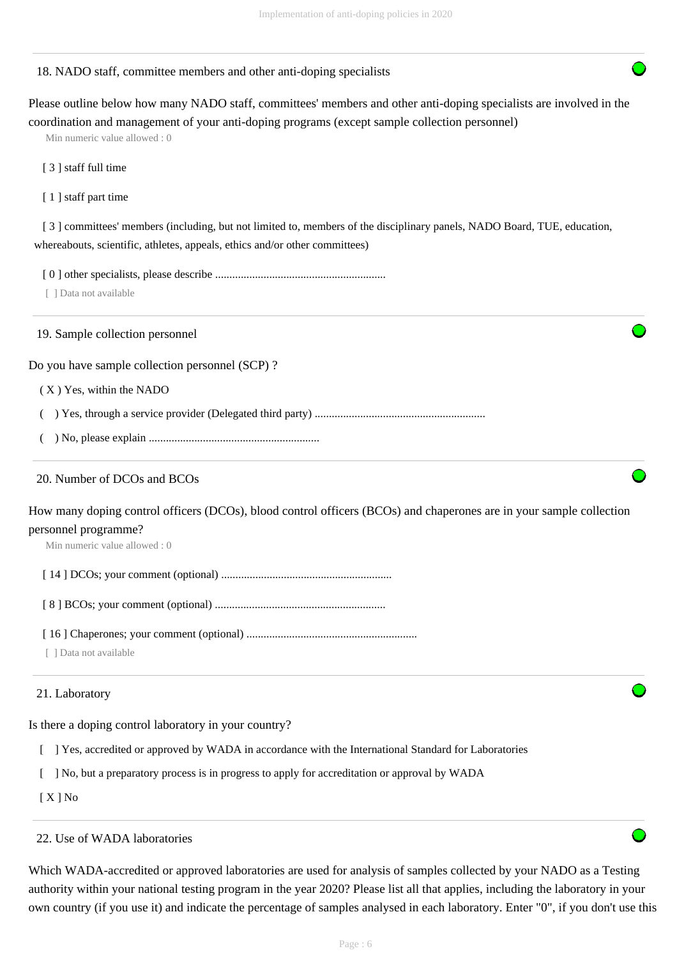#### 18. NADO staff, committee members and other anti-doping specialists

Please outline below how many NADO staff, committees' members and other anti-doping specialists are involved in the coordination and management of your anti-doping programs (except sample collection personnel)

Min numeric value allowed : 0

[ 3 ] staff full time

[ 1 ] staff part time

[3] committees' members (including, but not limited to, members of the disciplinary panels, NADO Board, TUE, education, whereabouts, scientific, athletes, appeals, ethics and/or other committees)

[ 0 ] other specialists, please describe ............................................................

[ ] Data not available

19. Sample collection personnel

Do you have sample collection personnel (SCP) ?

( X ) Yes, within the NADO

( ) Yes, through a service provider (Delegated third party) ............................................................

( ) No, please explain ............................................................

#### 20. Number of DCOs and BCOs

How many doping control officers (DCOs), blood control officers (BCOs) and chaperones are in your sample collection personnel programme?

Min numeric value allowed : 0

[ 14 ] DCOs; your comment (optional) ............................................................

[ 8 ] BCOs; your comment (optional) ............................................................

[ 16 ] Chaperones; your comment (optional) ............................................................

[ ] Data not available

#### 21. Laboratory

Is there a doping control laboratory in your country?

[ ] Yes, accredited or approved by WADA in accordance with the International Standard for Laboratories

[ ] No, but a preparatory process is in progress to apply for accreditation or approval by WADA

[ X ] No

#### 22. Use of WADA laboratories

Which WADA-accredited or approved laboratories are used for analysis of samples collected by your NADO as a Testing authority within your national testing program in the year 2020? Please list all that applies, including the laboratory in your own country (if you use it) and indicate the percentage of samples analysed in each laboratory. Enter "0", if you don't use this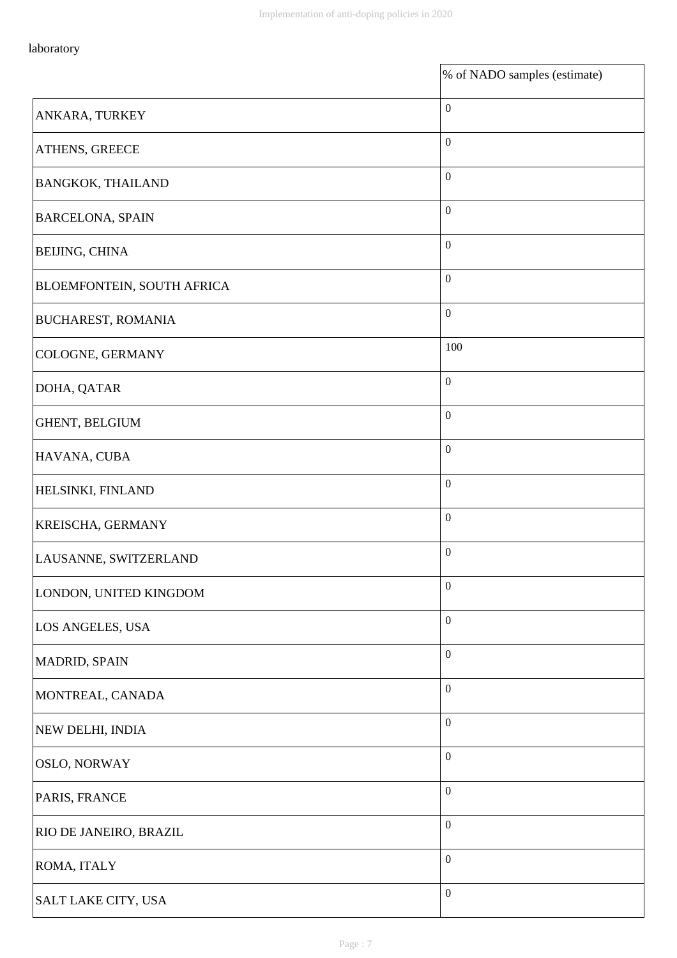$\mathbf{r}$ 

|                            | % of NADO samples (estimate) |
|----------------------------|------------------------------|
| ANKARA, TURKEY             | $\boldsymbol{0}$             |
| ATHENS, GREECE             | $\mathbf{0}$                 |
| <b>BANGKOK, THAILAND</b>   | $\boldsymbol{0}$             |
| <b>BARCELONA, SPAIN</b>    | $\mathbf{0}$                 |
| BEIJING, CHINA             | $\boldsymbol{0}$             |
| BLOEMFONTEIN, SOUTH AFRICA | $\boldsymbol{0}$             |
| <b>BUCHAREST, ROMANIA</b>  | $\boldsymbol{0}$             |
| COLOGNE, GERMANY           | 100                          |
| DOHA, QATAR                | $\boldsymbol{0}$             |
| GHENT, BELGIUM             | $\boldsymbol{0}$             |
| HAVANA, CUBA               | $\boldsymbol{0}$             |
| HELSINKI, FINLAND          | $\boldsymbol{0}$             |
| KREISCHA, GERMANY          | $\boldsymbol{0}$             |
| LAUSANNE, SWITZERLAND      | $\boldsymbol{0}$             |
| LONDON, UNITED KINGDOM     | $\boldsymbol{0}$             |
| LOS ANGELES, USA           | $\boldsymbol{0}$             |
| <b>MADRID, SPAIN</b>       | $\boldsymbol{0}$             |
| MONTREAL, CANADA           | $\boldsymbol{0}$             |
| NEW DELHI, INDIA           | $\boldsymbol{0}$             |
| <b>OSLO, NORWAY</b>        | $\boldsymbol{0}$             |
| PARIS, FRANCE              | $\boldsymbol{0}$             |
| RIO DE JANEIRO, BRAZIL     | $\boldsymbol{0}$             |
| ROMA, ITALY                | $\boldsymbol{0}$             |
| SALT LAKE CITY, USA        | $\boldsymbol{0}$             |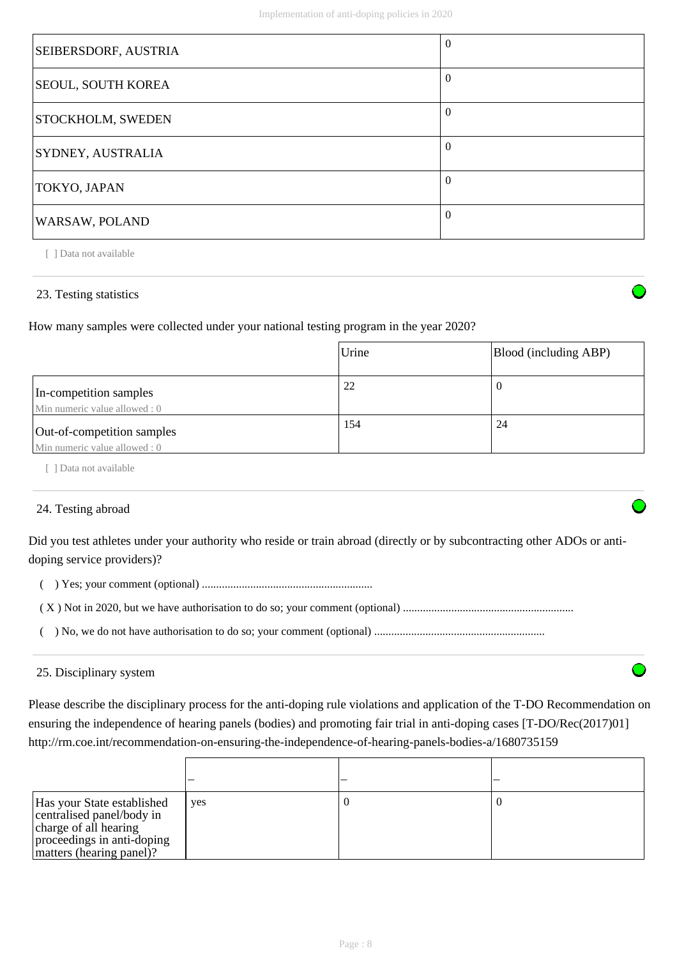| SEIBERSDORF, AUSTRIA      | $\Omega$ |
|---------------------------|----------|
| <b>SEOUL, SOUTH KOREA</b> | $\Omega$ |
| <b>STOCKHOLM, SWEDEN</b>  | $\Omega$ |
| SYDNEY, AUSTRALIA         | $\Omega$ |
| TOKYO, JAPAN              | $\theta$ |
| WARSAW, POLAND            | $\Omega$ |

[ ] Data not available

## 23. Testing statistics

How many samples were collected under your national testing program in the year 2020?

|                                                            | Urine | Blood (including ABP) |
|------------------------------------------------------------|-------|-----------------------|
| In-competition samples<br>Min numeric value allowed: 0     | 22    | v                     |
| Out-of-competition samples<br>Min numeric value allowed: 0 | 154   | 24                    |

[ ] Data not available

# 24. Testing abroad

Did you test athletes under your authority who reside or train abroad (directly or by subcontracting other ADOs or antidoping service providers)?

( ) Yes; your comment (optional) ............................................................

|--|--|--|--|

( ) No, we do not have authorisation to do so; your comment (optional) ............................................................

## 25. Disciplinary system

Please describe the disciplinary process for the anti-doping rule violations and application of the T-DO Recommendation on ensuring the independence of hearing panels (bodies) and promoting fair trial in anti-doping cases [T-DO/Rec(2017)01] http://rm.coe.int/recommendation-on-ensuring-the-independence-of-hearing-panels-bodies-a/1680735159

| Has your State established<br>centralised panel/body in<br>charge of all hearing<br>proceedings in anti-doping<br>matters (hearing panel)? | yes |  |
|--------------------------------------------------------------------------------------------------------------------------------------------|-----|--|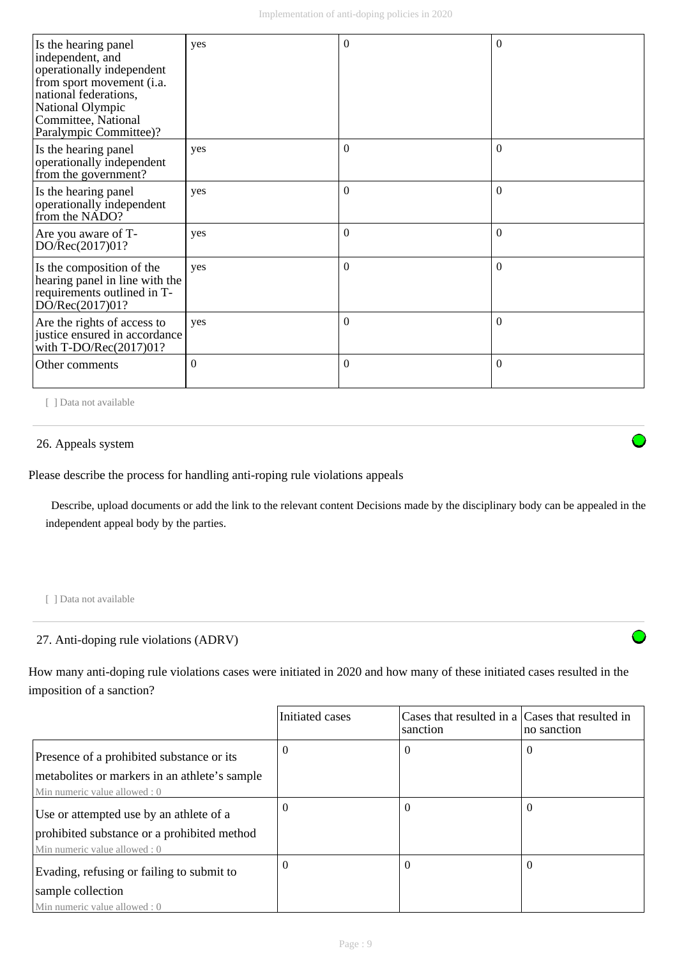| Is the hearing panel<br>independent, and<br>operationally independent<br>from sport movement (i.a.<br>national federations,<br>National Olympic<br>Committee, National<br>Paralympic Committee)? | yes      | $\Omega$     | $\Omega$ |
|--------------------------------------------------------------------------------------------------------------------------------------------------------------------------------------------------|----------|--------------|----------|
| Is the hearing panel<br>operationally independent<br>from the government?                                                                                                                        | yes      | $\Omega$     | $\Omega$ |
| Is the hearing panel<br>operationally independent<br>from the NADO?                                                                                                                              | yes      | $\mathbf{0}$ | $\Omega$ |
| Are you aware of T-<br>DO/Rec(2017)01?                                                                                                                                                           | yes      | $\theta$     | $\Omega$ |
| Is the composition of the<br>hearing panel in line with the<br>requirements outlined in T-<br>DO/Rec(2017)01?                                                                                    | yes      | $\mathbf{0}$ | $\Omega$ |
| Are the rights of access to<br>justice ensured in accordance<br>with $T\text{-DO/Rec}(2017)01?$                                                                                                  | yes      | $\theta$     | $\Omega$ |
| Other comments                                                                                                                                                                                   | $\Omega$ | $\theta$     | $\Omega$ |

[ ] Data not available

## 26. Appeals system

Please describe the process for handling anti-roping rule violations appeals

 Describe, upload documents or add the link to the relevant content Decisions made by the disciplinary body can be appealed in the independent appeal body by the parties.

[ ] Data not available

## 27. Anti-doping rule violations (ADRV)

How many anti-doping rule violations cases were initiated in 2020 and how many of these initiated cases resulted in the imposition of a sanction?

|                                               | Initiated cases | Cases that resulted in a Cases that resulted in<br>sanction | no sanction |
|-----------------------------------------------|-----------------|-------------------------------------------------------------|-------------|
| Presence of a prohibited substance or its     | $\Omega$        | $\theta$                                                    | $\theta$    |
| metabolites or markers in an athlete's sample |                 |                                                             |             |
| Min numeric value allowed: 0                  |                 |                                                             |             |
| Use or attempted use by an athlete of a       | $\Omega$        | $\theta$                                                    | $\Omega$    |
| prohibited substance or a prohibited method   |                 |                                                             |             |
| Min numeric value allowed: 0                  |                 |                                                             |             |
| Evading, refusing or failing to submit to     | $\Omega$        | $\theta$                                                    | $\Omega$    |
| sample collection                             |                 |                                                             |             |
| Min numeric value allowed: 0                  |                 |                                                             |             |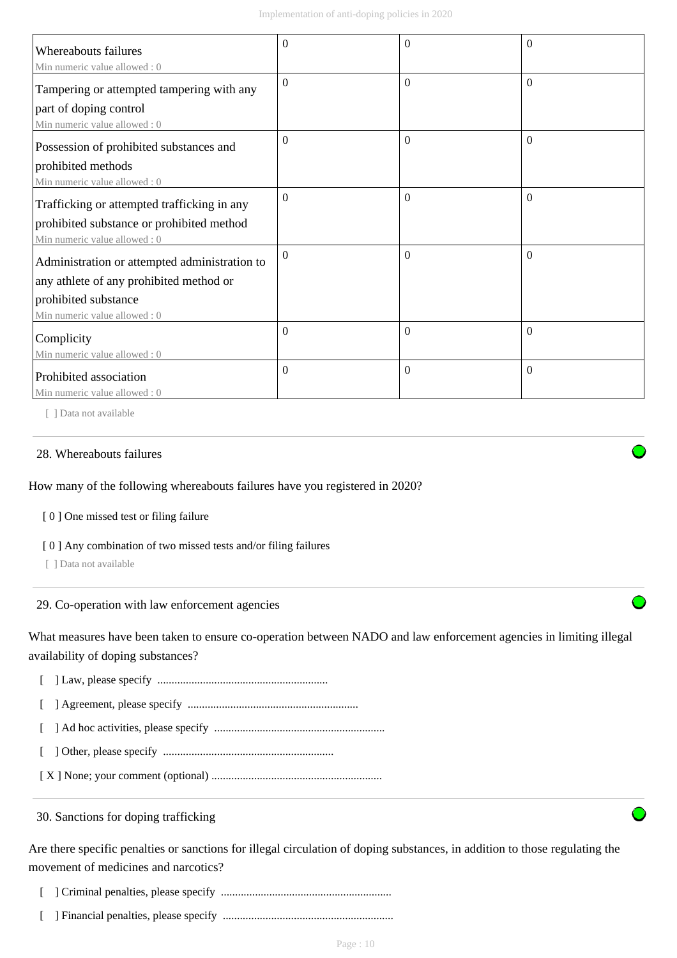| <b>Whereabouts failures</b>                                               | $\Omega$     | 0              | $\Omega$ |
|---------------------------------------------------------------------------|--------------|----------------|----------|
| Min numeric value allowed: 0<br>Tampering or attempted tampering with any | $\Omega$     | $\Omega$       | $\Omega$ |
| part of doping control<br>Min numeric value allowed: 0                    |              |                |          |
| Possession of prohibited substances and                                   | $\Omega$     | $\Omega$       | $\Omega$ |
| prohibited methods<br>Min numeric value allowed: 0                        |              |                |          |
| Trafficking or attempted trafficking in any                               | $\mathbf{0}$ | $\overline{0}$ | $\Omega$ |
| prohibited substance or prohibited method<br>Min numeric value allowed: 0 |              |                |          |
| Administration or attempted administration to                             | $\Omega$     | $\Omega$       | $\theta$ |
| any athlete of any prohibited method or<br>prohibited substance           |              |                |          |
| Min numeric value allowed : 0                                             |              |                |          |
| Complicity<br>Min numeric value allowed: 0                                | $\mathbf{0}$ | $\Omega$       | $\theta$ |
| Prohibited association                                                    | $\Omega$     | $\Omega$       | $\theta$ |
| Min numeric value allowed: 0                                              |              |                |          |

[ ] Data not available

#### 28. Whereabouts failures

How many of the following whereabouts failures have you registered in 2020?

[ 0 ] One missed test or filing failure

[ 0 ] Any combination of two missed tests and/or filing failures

[ ] Data not available

29. Co-operation with law enforcement agencies

What measures have been taken to ensure co-operation between NADO and law enforcement agencies in limiting illegal availability of doping substances?

[ ] Law, please specify ............................................................

[ ] Agreement, please specify ............................................................

[ ] Ad hoc activities, please specify ............................................................

[ ] Other, please specify ............................................................

[ X ] None; your comment (optional) ............................................................

30. Sanctions for doping trafficking

Are there specific penalties or sanctions for illegal circulation of doping substances, in addition to those regulating the movement of medicines and narcotics?

[ ] Criminal penalties, please specify ............................................................

[ ] Financial penalties, please specify ............................................................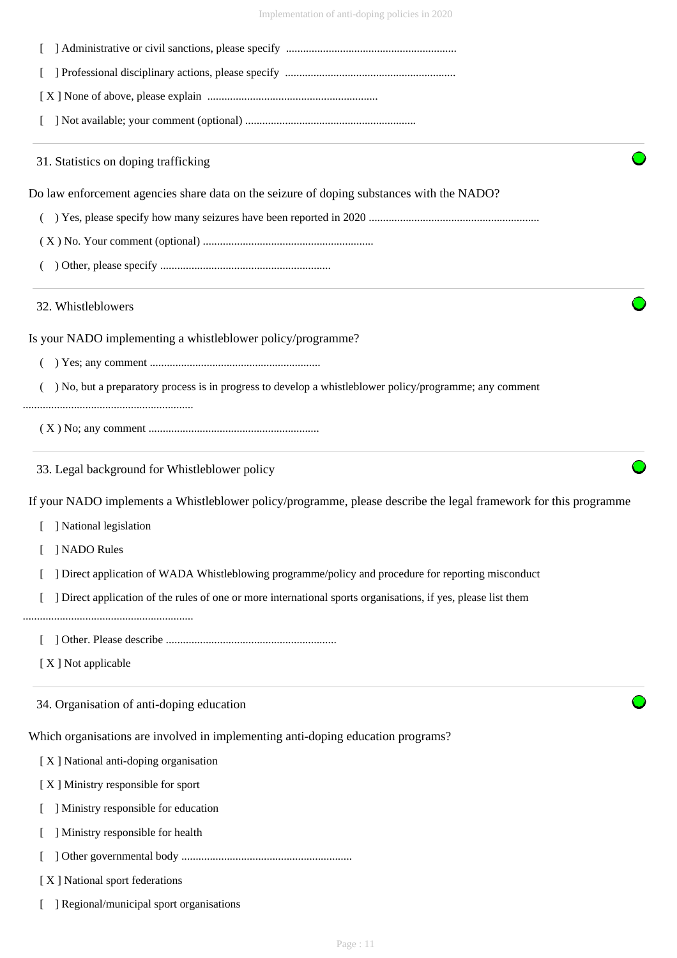Implementation of anti-doping policies in 2020

| 31. Statistics on doping trafficking                                                                             |  |  |  |  |  |
|------------------------------------------------------------------------------------------------------------------|--|--|--|--|--|
| Do law enforcement agencies share data on the seizure of doping substances with the NADO?                        |  |  |  |  |  |
|                                                                                                                  |  |  |  |  |  |
|                                                                                                                  |  |  |  |  |  |
|                                                                                                                  |  |  |  |  |  |
| 32. Whistleblowers                                                                                               |  |  |  |  |  |
| Is your NADO implementing a whistleblower policy/programme?                                                      |  |  |  |  |  |
|                                                                                                                  |  |  |  |  |  |
| ) No, but a preparatory process is in progress to develop a whistleblower policy/programme; any comment          |  |  |  |  |  |
|                                                                                                                  |  |  |  |  |  |
| 33. Legal background for Whistleblower policy                                                                    |  |  |  |  |  |
| If your NADO implements a Whistleblower policy/programme, please describe the legal framework for this programme |  |  |  |  |  |
| ] National legislation                                                                                           |  |  |  |  |  |
| ] NADO Rules                                                                                                     |  |  |  |  |  |
| ] Direct application of WADA Whistleblowing programme/policy and procedure for reporting misconduct              |  |  |  |  |  |
| ] Direct application of the rules of one or more international sports organisations, if yes, please list them    |  |  |  |  |  |
|                                                                                                                  |  |  |  |  |  |
| [X] Not applicable                                                                                               |  |  |  |  |  |
| 34. Organisation of anti-doping education                                                                        |  |  |  |  |  |
| Which organisations are involved in implementing anti-doping education programs?                                 |  |  |  |  |  |
| [X] National anti-doping organisation                                                                            |  |  |  |  |  |
| [X] Ministry responsible for sport                                                                               |  |  |  |  |  |
| ] Ministry responsible for education                                                                             |  |  |  |  |  |
| ] Ministry responsible for health                                                                                |  |  |  |  |  |
|                                                                                                                  |  |  |  |  |  |
| [X] National sport federations                                                                                   |  |  |  |  |  |
| ] Regional/municipal sport organisations                                                                         |  |  |  |  |  |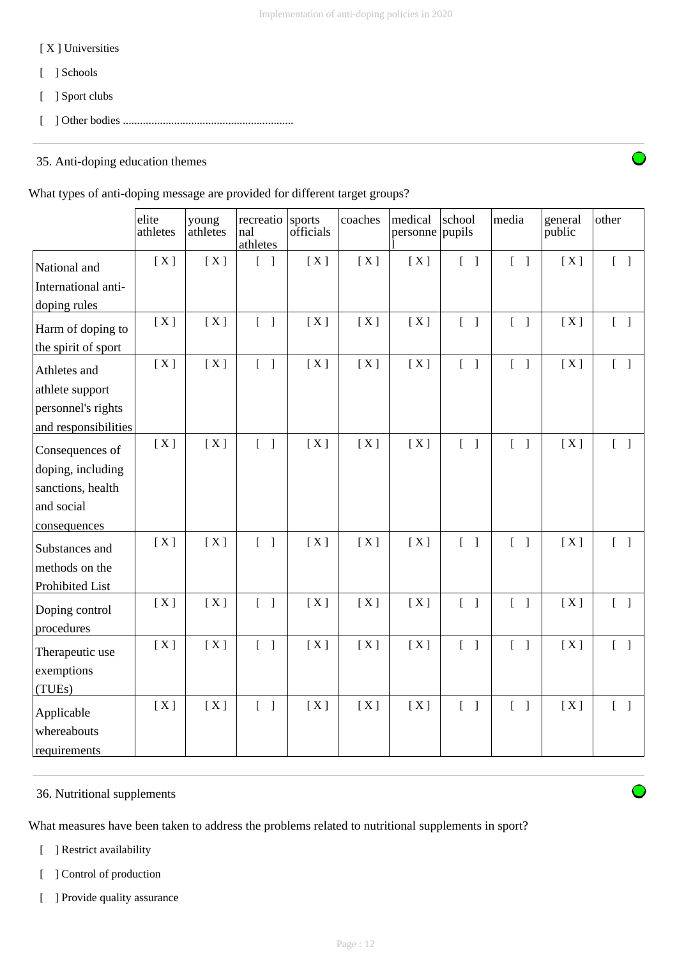## [ X ] Universities

- [ ] Schools
- [ ] Sport clubs
- [ ] Other bodies ............................................................

# 35. Anti-doping education themes

## What types of anti-doping message are provided for different target groups?

|                      | elite<br>athletes | young<br>athletes | recreatio<br>nal<br>athletes      | sports<br>officials | coaches | medical<br>personne pupils | school                                | media                             | general<br>public | other                             |
|----------------------|-------------------|-------------------|-----------------------------------|---------------------|---------|----------------------------|---------------------------------------|-----------------------------------|-------------------|-----------------------------------|
| National and         | [X]               | [X]               | $\overline{1}$<br>$\mathbf{I}$    | [X]                 | [X]     | [X]                        | $\begin{bmatrix} 1 \end{bmatrix}$     | $\begin{bmatrix} 1 \end{bmatrix}$ | [X]               | $\begin{bmatrix} 1 \end{bmatrix}$ |
| International anti-  |                   |                   |                                   |                     |         |                            |                                       |                                   |                   |                                   |
| doping rules         |                   |                   |                                   |                     |         |                            |                                       |                                   |                   |                                   |
| Harm of doping to    | [X]               | [X]               | $\begin{bmatrix} 1 \end{bmatrix}$ | [X]                 | [X]     | [X]                        | $\begin{bmatrix} 1 \end{bmatrix}$     | $\begin{bmatrix} 1 \end{bmatrix}$ | [X]               | $\begin{bmatrix} 1 \end{bmatrix}$ |
| the spirit of sport  |                   |                   |                                   |                     |         |                            |                                       |                                   |                   |                                   |
| Athletes and         | [X]               | [X]               | $\begin{bmatrix} 1 \end{bmatrix}$ | [X]                 | [X]     | [X]                        | $\begin{bmatrix} 1 \end{bmatrix}$     | $\begin{bmatrix} 1 \end{bmatrix}$ | [X]               | $\begin{bmatrix} 1 \end{bmatrix}$ |
| athlete support      |                   |                   |                                   |                     |         |                            |                                       |                                   |                   |                                   |
| personnel's rights   |                   |                   |                                   |                     |         |                            |                                       |                                   |                   |                                   |
| and responsibilities |                   |                   |                                   |                     |         |                            |                                       |                                   |                   |                                   |
| Consequences of      | [X]               | [X]               | $\begin{bmatrix} 1 \end{bmatrix}$ | [X]                 | [X]     | [X]                        | $\begin{bmatrix} 1 \end{bmatrix}$     | $\begin{bmatrix} 1 \end{bmatrix}$ | [X]               | $\begin{bmatrix} 1 \end{bmatrix}$ |
| doping, including    |                   |                   |                                   |                     |         |                            |                                       |                                   |                   |                                   |
| sanctions, health    |                   |                   |                                   |                     |         |                            |                                       |                                   |                   |                                   |
| and social           |                   |                   |                                   |                     |         |                            |                                       |                                   |                   |                                   |
| consequences         |                   |                   |                                   |                     |         |                            |                                       |                                   |                   |                                   |
| Substances and       | [X]               | [X]               | $\begin{bmatrix} 1 \end{bmatrix}$ | [X]                 | [X]     | [X]                        | $\begin{bmatrix} 1 \end{bmatrix}$     | $[ \ ]$                           | [X]               | $[\ ]$                            |
| methods on the       |                   |                   |                                   |                     |         |                            |                                       |                                   |                   |                                   |
| Prohibited List      |                   |                   |                                   |                     |         |                            |                                       |                                   |                   |                                   |
| Doping control       | [X]               | [X]               | $\begin{bmatrix} 1 \end{bmatrix}$ | [X]                 | [X]     | [X]                        | $\begin{bmatrix} 1 & 1 \end{bmatrix}$ | $\begin{bmatrix} 1 \end{bmatrix}$ | [X]               | $\begin{bmatrix} 1 \end{bmatrix}$ |
| procedures           |                   |                   |                                   |                     |         |                            |                                       |                                   |                   |                                   |
| Therapeutic use      | [X]               | [X]               | $\begin{bmatrix} 1 \end{bmatrix}$ | [X]                 | [X]     | [X]                        | $\begin{bmatrix} 1 \end{bmatrix}$     | $[ \ ]$                           | [X]               | $\begin{bmatrix} 1 \end{bmatrix}$ |
| exemptions           |                   |                   |                                   |                     |         |                            |                                       |                                   |                   |                                   |
| (TUEs)               |                   |                   |                                   |                     |         |                            |                                       |                                   |                   |                                   |
| Applicable           | [X]               | [X]               | $\begin{bmatrix} 1 \end{bmatrix}$ | [X]                 | [X]     | [X]                        | $\begin{bmatrix} 1 \end{bmatrix}$     | $\begin{bmatrix} 1 \end{bmatrix}$ | [X]               | $\begin{bmatrix} 1 \end{bmatrix}$ |
| whereabouts          |                   |                   |                                   |                     |         |                            |                                       |                                   |                   |                                   |
| requirements         |                   |                   |                                   |                     |         |                            |                                       |                                   |                   |                                   |

# 36. Nutritional supplements

What measures have been taken to address the problems related to nutritional supplements in sport?

- [ ] Restrict availability
- [ ] Control of production
- [ ] Provide quality assurance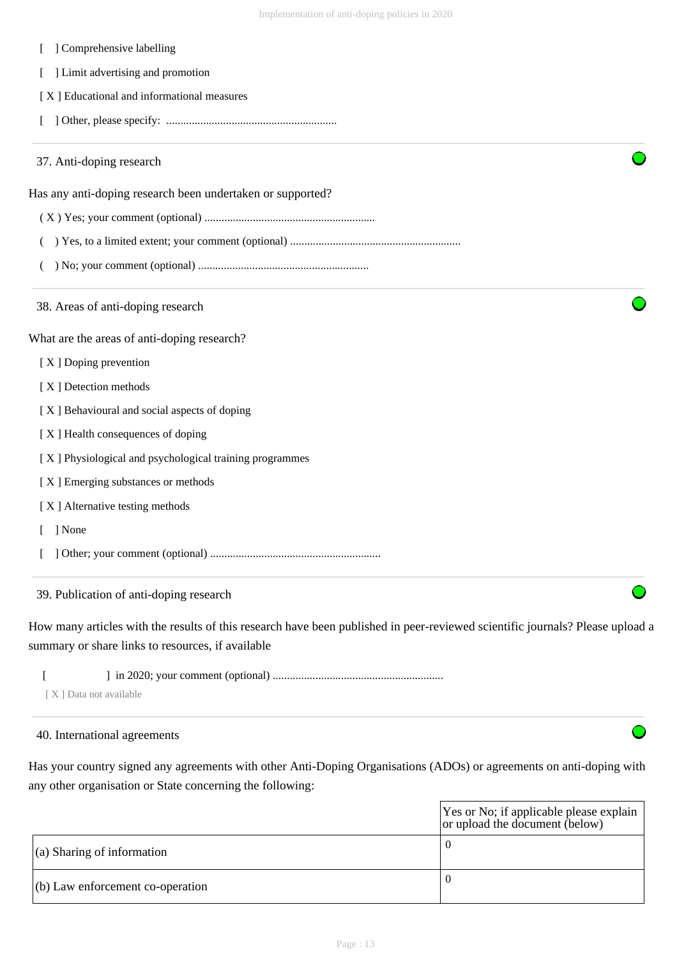| ] Comprehensive labelling                                  |  |
|------------------------------------------------------------|--|
| ] Limit advertising and promotion                          |  |
| [X] Educational and informational measures                 |  |
|                                                            |  |
| 37. Anti-doping research                                   |  |
| Has any anti-doping research been undertaken or supported? |  |
|                                                            |  |
| (                                                          |  |
|                                                            |  |
| 38. Areas of anti-doping research                          |  |
| What are the areas of anti-doping research?                |  |
| [X] Doping prevention                                      |  |
| [X] Detection methods                                      |  |
| [X] Behavioural and social aspects of doping               |  |
| [X] Health consequences of doping                          |  |
| [X] Physiological and psychological training programmes    |  |
| [X] Emerging substances or methods                         |  |
| [X] Alternative testing methods                            |  |
| ] None<br>$\mathbf{L}$                                     |  |
|                                                            |  |
| 39. Publication of anti-doping research                    |  |

How many articles with the results of this research have been published in peer-reviewed scientific journals? Please upload a summary or share links to resources, if available

[ ] in 2020; your comment (optional) ............................................................

[ X ] Data not available

## 40. International agreements

Has your country signed any agreements with other Anti-Doping Organisations (ADOs) or agreements on anti-doping with any other organisation or State concerning the following:

|                                    | Yes or No; if applicable please explain<br>or upload the document (below) |
|------------------------------------|---------------------------------------------------------------------------|
| $\vert$ (a) Sharing of information |                                                                           |
| $(6)$ Law enforcement co-operation |                                                                           |